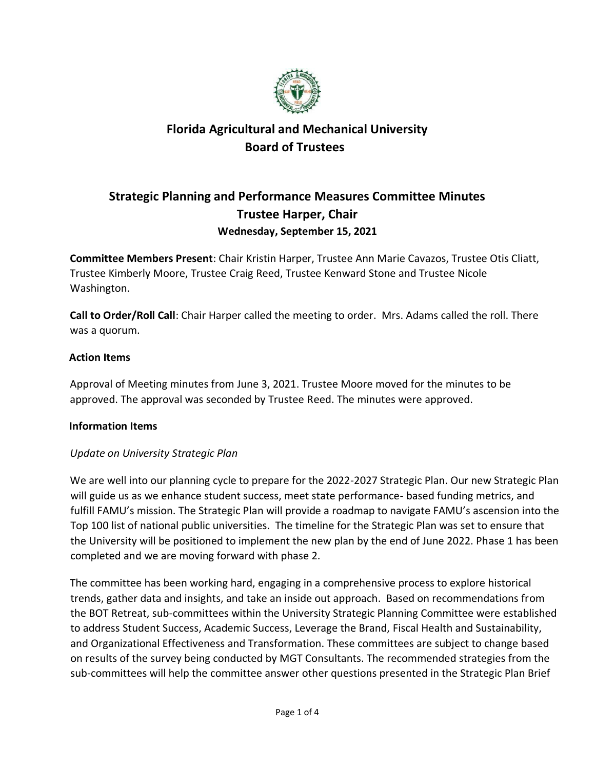

### **Strategic Planning and Performance Measures Committee Minutes Trustee Harper, Chair Wednesday, September 15, 2021**

**Committee Members Present**: Chair Kristin Harper, Trustee Ann Marie Cavazos, Trustee Otis Cliatt, Trustee Kimberly Moore, Trustee Craig Reed, Trustee Kenward Stone and Trustee Nicole Washington.

**Call to Order/Roll Call**: Chair Harper called the meeting to order. Mrs. Adams called the roll. There was a quorum.

### **Action Items**

Approval of Meeting minutes from June 3, 2021. Trustee Moore moved for the minutes to be approved. The approval was seconded by Trustee Reed. The minutes were approved.

### **Information Items**

### *Update on University Strategic Plan*

We are well into our planning cycle to prepare for the 2022-2027 Strategic Plan. Our new Strategic Plan will guide us as we enhance student success, meet state performance- based funding metrics, and fulfill FAMU's mission. The Strategic Plan will provide a roadmap to navigate FAMU's ascension into the Top 100 list of national public universities. The timeline for the Strategic Plan was set to ensure that the University will be positioned to implement the new plan by the end of June 2022. Phase 1 has been completed and we are moving forward with phase 2.

The committee has been working hard, engaging in a comprehensive process to explore historical trends, gather data and insights, and take an inside out approach. Based on recommendations from the BOT Retreat, sub-committees within the University Strategic Planning Committee were established to address Student Success, Academic Success, Leverage the Brand, Fiscal Health and Sustainability, and Organizational Effectiveness and Transformation. These committees are subject to change based on results of the survey being conducted by MGT Consultants. The recommended strategies from the sub-committees will help the committee answer other questions presented in the Strategic Plan Brief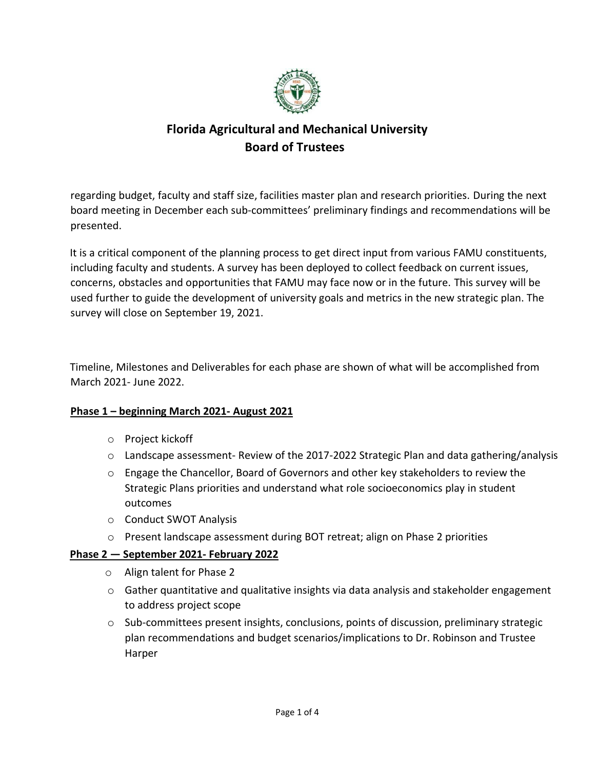

regarding budget, faculty and staff size, facilities master plan and research priorities. During the next board meeting in December each sub-committees' preliminary findings and recommendations will be presented.

It is a critical component of the planning process to get direct input from various FAMU constituents, including faculty and students. A survey has been deployed to collect feedback on current issues, concerns, obstacles and opportunities that FAMU may face now or in the future. This survey will be used further to guide the development of university goals and metrics in the new strategic plan. The survey will close on September 19, 2021.

Timeline, Milestones and Deliverables for each phase are shown of what will be accomplished from March 2021- June 2022.

### **Phase 1 – beginning March 2021- August 2021**

- o Project kickoff
- $\circ$  Landscape assessment- Review of the 2017-2022 Strategic Plan and data gathering/analysis
- o Engage the Chancellor, Board of Governors and other key stakeholders to review the Strategic Plans priorities and understand what role socioeconomics play in student outcomes
- o Conduct SWOT Analysis
- o Present landscape assessment during BOT retreat; align on Phase 2 priorities

### **Phase 2 — September 2021- February 2022**

- o Align talent for Phase 2
- $\circ$  Gather quantitative and qualitative insights via data analysis and stakeholder engagement to address project scope
- $\circ$  Sub-committees present insights, conclusions, points of discussion, preliminary strategic plan recommendations and budget scenarios/implications to Dr. Robinson and Trustee Harper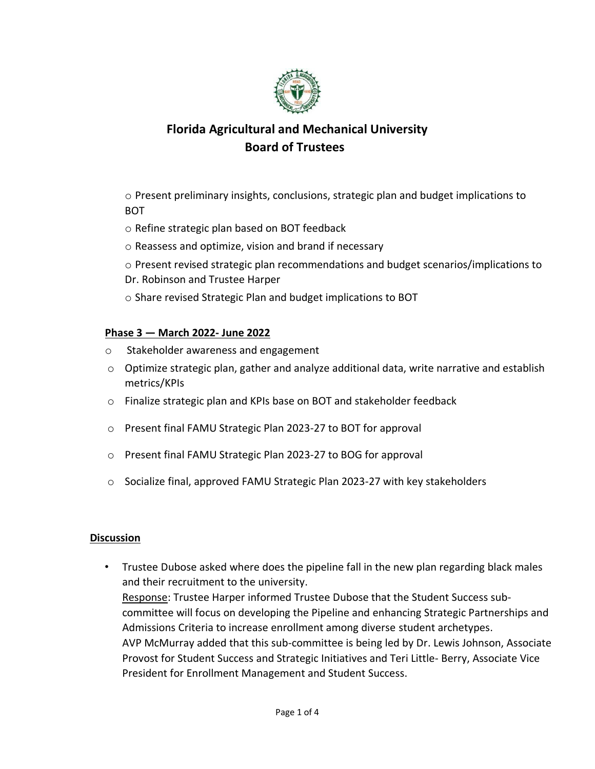

o Present preliminary insights, conclusions, strategic plan and budget implications to **BOT** 

- o Refine strategic plan based on BOT feedback
- o Reassess and optimize, vision and brand if necessary
- o Present revised strategic plan recommendations and budget scenarios/implications to Dr. Robinson and Trustee Harper
- o Share revised Strategic Plan and budget implications to BOT

#### **Phase 3 — March 2022- June 2022**

- o Stakeholder awareness and engagement
- $\circ$  Optimize strategic plan, gather and analyze additional data, write narrative and establish metrics/KPIs
- o Finalize strategic plan and KPIs base on BOT and stakeholder feedback
- o Present final FAMU Strategic Plan 2023-27 to BOT for approval
- o Present final FAMU Strategic Plan 2023-27 to BOG for approval
- o Socialize final, approved FAMU Strategic Plan 2023-27 with key stakeholders

#### **Discussion**

• Trustee Dubose asked where does the pipeline fall in the new plan regarding black males and their recruitment to the university. Response: Trustee Harper informed Trustee Dubose that the Student Success subcommittee will focus on developing the Pipeline and enhancing Strategic Partnerships and Admissions Criteria to increase enrollment among diverse student archetypes. AVP McMurray added that this sub-committee is being led by Dr. Lewis Johnson, Associate Provost for Student Success and Strategic Initiatives and Teri Little- Berry, Associate Vice President for Enrollment Management and Student Success.